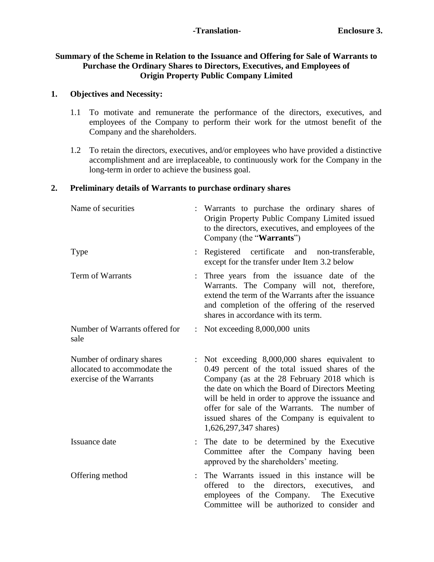### **-Translation- Enclosure 3.**

### **Summary of the Scheme in Relation to the Issuance and Offering for Sale of Warrants to Purchase the Ordinary Shares to Directors, Executives, and Employees of Origin Property Public Company Limited**

### **1. Objectives and Necessity:**

- 1.1 To motivate and remunerate the performance of the directors, executives, and employees of the Company to perform their work for the utmost benefit of the Company and the shareholders.
- 1.2 To retain the directors, executives, and/or employees who have provided a distinctive accomplishment and are irreplaceable, to continuously work for the Company in the long-term in order to achieve the business goal.

#### **2. Preliminary details of Warrants to purchase ordinary shares**

| Name of securities                                                                    | Warrants to purchase the ordinary shares of<br>Origin Property Public Company Limited issued<br>to the directors, executives, and employees of the<br>Company (the "Warrants")                                                                                                                                                                                                     |
|---------------------------------------------------------------------------------------|------------------------------------------------------------------------------------------------------------------------------------------------------------------------------------------------------------------------------------------------------------------------------------------------------------------------------------------------------------------------------------|
| <b>Type</b>                                                                           | Registered certificate and non-transferable,<br>except for the transfer under Item 3.2 below                                                                                                                                                                                                                                                                                       |
| Term of Warrants                                                                      | Three years from the issuance date of the<br>Warrants. The Company will not, therefore,<br>extend the term of the Warrants after the issuance<br>and completion of the offering of the reserved<br>shares in accordance with its term.                                                                                                                                             |
| Number of Warrants offered for<br>sale                                                | : Not exceeding $8,000,000$ units                                                                                                                                                                                                                                                                                                                                                  |
| Number of ordinary shares<br>allocated to accommodate the<br>exercise of the Warrants | Not exceeding 8,000,000 shares equivalent to<br>0.49 percent of the total issued shares of the<br>Company (as at the 28 February 2018 which is<br>the date on which the Board of Directors Meeting<br>will be held in order to approve the issuance and<br>offer for sale of the Warrants. The number of<br>issued shares of the Company is equivalent to<br>1,626,297,347 shares) |
| Issuance date                                                                         | The date to be determined by the Executive<br>Committee after the Company having been<br>approved by the shareholders' meeting.                                                                                                                                                                                                                                                    |
| Offering method                                                                       | The Warrants issued in this instance will be<br>offered to the directors, executives,<br>and<br>employees of the Company. The Executive<br>Committee will be authorized to consider and                                                                                                                                                                                            |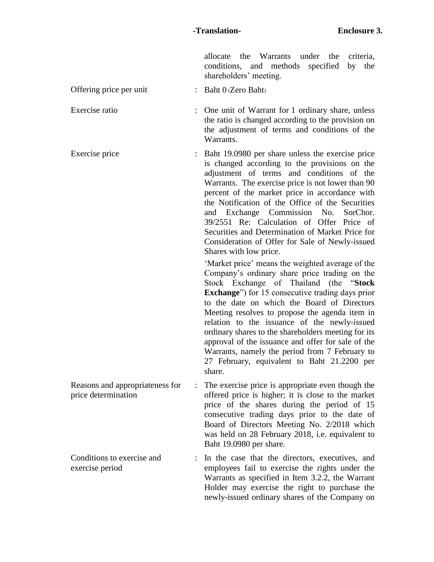allocate the Warrants under the criteria, conditions, and methods specified by the shareholders' meeting.

Offering price per unit : Baht 0 (Zero Baht)

Exercise ratio : One unit of Warrant for 1 ordinary share, unless the ratio is changed according to the provision on the adjustment of terms and conditions of the Warrants.

Exercise price : Baht 19.0980 per share unless the exercise price is changed according to the provisions on the adjustment of terms and conditions of the Warrants. The exercise price is not lower than 90 percent of the market price in accordance with the Notification of the Office of the Securities and Exchange Commission No. SorChor. 39/2551 Re: Calculation of Offer Price of Securities and Determination of Market Price for Consideration of Offer for Sale of Newly-issued Shares with low price.

> 'Market price' means the weighted average of the Company's ordinary share price trading on the Stock Exchange of Thailand (the "**Stock Exchange**") for 15 consecutive trading days prior to the date on which the Board of Directors Meeting resolves to propose the agenda item in relation to the issuance of the newly-issued ordinary shares to the shareholders meeting for its approval of the issuance and offer for sale of the Warrants, namely the period from 7 February to 27 February, equivalent to Baht 21.2200 per share.

- Reasons and appropriateness for price determination : The exercise price is appropriate even though the offered price is higher; it is close to the market price of the shares during the period of 15 consecutive trading days prior to the date of Board of Directors Meeting No. 2/2018 which was held on 28 February 2018, i.e. equivalent to Baht 19.0980 per share.
- Conditions to exercise and exercise period : In the case that the directors, executives, and employees fail to exercise the rights under the Warrants as specified in Item 3.2.2, the Warrant Holder may exercise the right to purchase the newly-issued ordinary shares of the Company on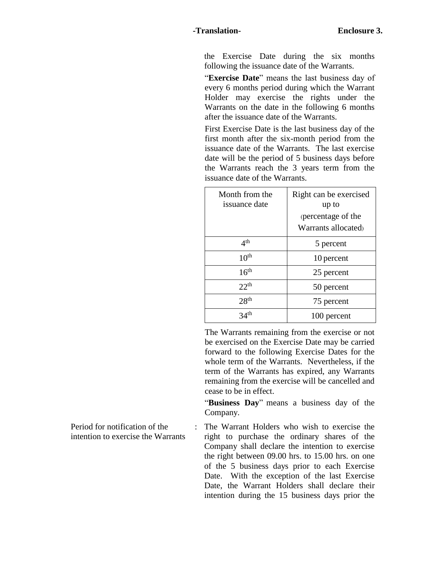the Exercise Date during the six months following the issuance date of the Warrants.

"**Exercise Date**" means the last business day of every 6 months period during which the Warrant Holder may exercise the rights under the Warrants on the date in the following 6 months after the issuance date of the Warrants.

First Exercise Date is the last business day of the first month after the six-month period from the issuance date of the Warrants. The last exercise date will be the period of 5 business days before the Warrants reach the 3 years term from the issuance date of the Warrants.

| Month from the<br>issuance date | Right can be exercised<br>up to<br>(percentage of the<br>Warrants allocated |
|---------------------------------|-----------------------------------------------------------------------------|
| 4 <sup>th</sup>                 | 5 percent                                                                   |
| 10 <sup>th</sup>                | 10 percent                                                                  |
| 16 <sup>th</sup>                | 25 percent                                                                  |
| 22 <sup>th</sup>                | 50 percent                                                                  |
| 28 <sup>th</sup>                | 75 percent                                                                  |
| 34 <sup>th</sup>                | 100 percent                                                                 |

The Warrants remaining from the exercise or not be exercised on the Exercise Date may be carried forward to the following Exercise Dates for the whole term of the Warrants. Nevertheless, if the term of the Warrants has expired, any Warrants remaining from the exercise will be cancelled and cease to be in effect.

"**Business Day**" means a business day of the Company.

Period for notification of the intention to exercise the Warrants

: The Warrant Holders who wish to exercise the right to purchase the ordinary shares of the Company shall declare the intention to exercise the right between 09.00 hrs. to 15.00 hrs. on one of the 5 business days prior to each Exercise Date. With the exception of the last Exercise Date, the Warrant Holders shall declare their intention during the 15 business days prior the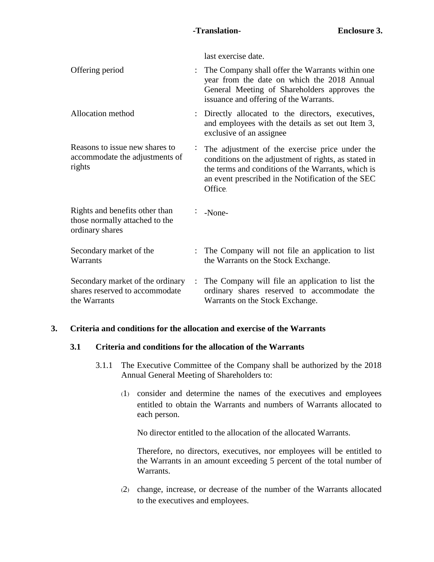last exercise date.

| Offering period                                                                     | $\ddot{\phantom{0}}$ | The Company shall offer the Warrants within one<br>year from the date on which the 2018 Annual<br>General Meeting of Shareholders approves the<br>issuance and offering of the Warrants.                                      |
|-------------------------------------------------------------------------------------|----------------------|-------------------------------------------------------------------------------------------------------------------------------------------------------------------------------------------------------------------------------|
| Allocation method                                                                   |                      | : Directly allocated to the directors, executives,<br>and employees with the details as set out Item 3,<br>exclusive of an assignee                                                                                           |
| Reasons to issue new shares to<br>accommodate the adjustments of<br>rights          |                      | The adjustment of the exercise price under the<br>conditions on the adjustment of rights, as stated in<br>the terms and conditions of the Warrants, which is<br>an event prescribed in the Notification of the SEC<br>Office. |
| Rights and benefits other than<br>those normally attached to the<br>ordinary shares |                      | -None-                                                                                                                                                                                                                        |
| Secondary market of the<br>Warrants                                                 | ÷                    | The Company will not file an application to list<br>the Warrants on the Stock Exchange.                                                                                                                                       |
| Secondary market of the ordinary<br>shares reserved to accommodate<br>the Warrants  | ÷                    | The Company will file an application to list the<br>ordinary shares reserved to accommodate the<br>Warrants on the Stock Exchange.                                                                                            |

## **3. Criteria and conditions for the allocation and exercise of the Warrants**

## **3.1 Criteria and conditions for the allocation of the Warrants**

- 3.1.1 The Executive Committee of the Company shall be authorized by the 2018 Annual General Meeting of Shareholders to:
	- (1) consider and determine the names of the executives and employees entitled to obtain the Warrants and numbers of Warrants allocated to each person.

No director entitled to the allocation of the allocated Warrants.

Therefore, no directors, executives, nor employees will be entitled to the Warrants in an amount exceeding 5 percent of the total number of Warrants.

(2) change, increase, or decrease of the number of the Warrants allocated to the executives and employees.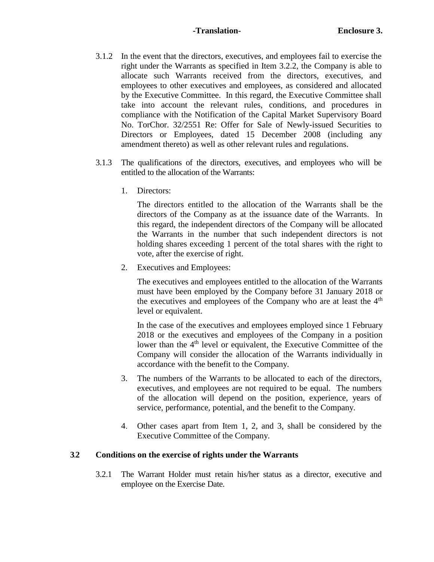### **-Translation- Enclosure 3.**

- 3.1.2 In the event that the directors, executives, and employees fail to exercise the right under the Warrants as specified in Item 3.2.2, the Company is able to allocate such Warrants received from the directors, executives, and employees to other executives and employees, as considered and allocated by the Executive Committee. In this regard, the Executive Committee shall take into account the relevant rules, conditions, and procedures in compliance with the Notification of the Capital Market Supervisory Board No. TorChor. 32/2551 Re: Offer for Sale of Newly-issued Securities to Directors or Employees, dated 15 December 2008 (including any amendment thereto) as well as other relevant rules and regulations.
- 3.1.3 The qualifications of the directors, executives, and employees who will be entitled to the allocation of the Warrants:
	- 1. Directors:

The directors entitled to the allocation of the Warrants shall be the directors of the Company as at the issuance date of the Warrants. In this regard, the independent directors of the Company will be allocated the Warrants in the number that such independent directors is not holding shares exceeding 1 percent of the total shares with the right to vote, after the exercise of right.

2. Executives and Employees:

The executives and employees entitled to the allocation of the Warrants must have been employed by the Company before 31 January 2018 or the executives and employees of the Company who are at least the  $4<sup>th</sup>$ level or equivalent.

In the case of the executives and employees employed since 1 February 2018 or the executives and employees of the Company in a position lower than the 4<sup>th</sup> level or equivalent, the Executive Committee of the Company will consider the allocation of the Warrants individually in accordance with the benefit to the Company.

- 3. The numbers of the Warrants to be allocated to each of the directors, executives, and employees are not required to be equal. The numbers of the allocation will depend on the position, experience, years of service, performance, potential, and the benefit to the Company.
- 4. Other cases apart from Item 1, 2, and 3, shall be considered by the Executive Committee of the Company.

## **3.2 Conditions on the exercise of rights under the Warrants**

3.2.1 The Warrant Holder must retain his/her status as a director, executive and employee on the Exercise Date.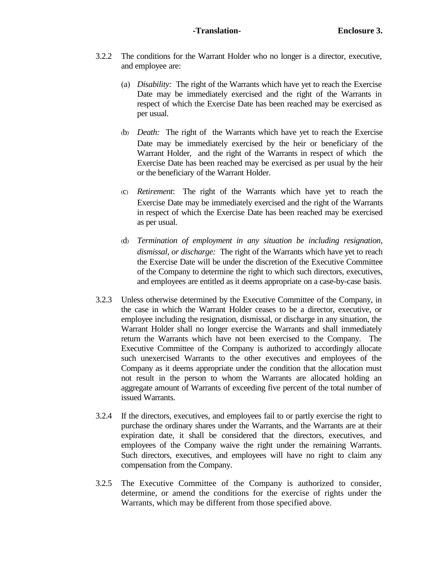- 3.2.2 The conditions for the Warrant Holder who no longer is a director, executive, and employee are:
	- (a) *Disability:* The right of the Warrants which have yet to reach the Exercise Date may be immediately exercised and the right of the Warrants in respect of which the Exercise Date has been reached may be exercised as per usual.
	- (b) *Death:* The right of the Warrants which have yet to reach the Exercise Date may be immediately exercised by the heir or beneficiary of the Warrant Holder, and the right of the Warrants in respect of which the Exercise Date has been reached may be exercised as per usual by the heir or the beneficiary of the Warrant Holder.
	- (c) *Retirement*: The right of the Warrants which have yet to reach the Exercise Date may be immediately exercised and the right of the Warrants in respect of which the Exercise Date has been reached may be exercised as per usual.
	- (d) *Termination of employment in any situation be including resignation, dismissal, or discharge:* The right of the Warrants which have yet to reach the Exercise Date will be under the discretion of the Executive Committee of the Company to determine the right to which such directors, executives, and employees are entitled as it deems appropriate on a case-by-case basis.
- 3.2.3 Unless otherwise determined by the Executive Committee of the Company, in the case in which the Warrant Holder ceases to be a director, executive, or employee including the resignation, dismissal, or discharge in any situation, the Warrant Holder shall no longer exercise the Warrants and shall immediately return the Warrants which have not been exercised to the Company. The Executive Committee of the Company is authorized to accordingly allocate such unexercised Warrants to the other executives and employees of the Company as it deems appropriate under the condition that the allocation must not result in the person to whom the Warrants are allocated holding an aggregate amount of Warrants of exceeding five percent of the total number of issued Warrants.
- 3.2.4 If the directors, executives, and employees fail to or partly exercise the right to purchase the ordinary shares under the Warrants, and the Warrants are at their expiration date, it shall be considered that the directors, executives, and employees of the Company waive the right under the remaining Warrants. Such directors, executives, and employees will have no right to claim any compensation from the Company.
- 3.2.5 The Executive Committee of the Company is authorized to consider, determine, or amend the conditions for the exercise of rights under the Warrants, which may be different from those specified above.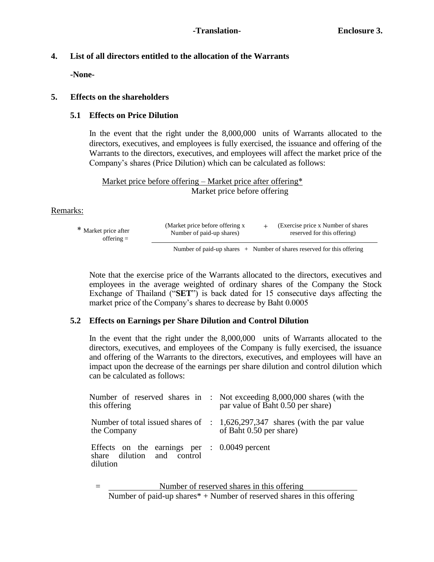# **4. List of all directors entitled to the allocation of the Warrants**

**-None-**

# **5. Effects on the shareholders**

## **5.1 Effects on Price Dilution**

In the event that the right under the 8,000,000 units of Warrants allocated to the directors, executives, and employees is fully exercised, the issuance and offering of the Warrants to the directors, executives, and employees will affect the market price of the Company's shares (Price Dilution) which can be calculated as follows:

Market price before offering – Market price after offering\* Market price before offering

## Remarks:

| * Market price after | (Market price before offering x) | (Exercise price x Number of shares) |
|----------------------|----------------------------------|-------------------------------------|
| $offering =$         | Number of paid-up shares)        | reserved for this offering)         |
|                      |                                  |                                     |

Number of paid-up shares  $+$  Number of shares reserved for this offering

Note that the exercise price of the Warrants allocated to the directors, executives and employees in the average weighted of ordinary shares of the Company the Stock Exchange of Thailand ("**SET**") is back dated for 15 consecutive days affecting the market price of the Company's shares to decrease by Baht 0.0005

# **5.2 Effects on Earnings per Share Dilution and Control Dilution**

In the event that the right under the 8,000,000 units of Warrants allocated to the directors, executives, and employees of the Company is fully exercised, the issuance and offering of the Warrants to the directors, executives, and employees will have an impact upon the decrease of the earnings per share dilution and control dilution which can be calculated as follows:

| this offering                                                                                     |  | Number of reserved shares in : Not exceeding 8,000,000 shares (with the<br>par value of Baht 0.50 per share)      |
|---------------------------------------------------------------------------------------------------|--|-------------------------------------------------------------------------------------------------------------------|
| the Company                                                                                       |  | Number of total issued shares of $\therefore$ 1,626,297,347 shares (with the par value<br>of Baht 0.50 per share) |
| Effects on the earnings per $\therefore$ 0.0049 percent<br>share dilution and control<br>dilution |  |                                                                                                                   |

Number of reserved shares in this offering Number of paid-up shares $* +$  Number of reserved shares in this offering